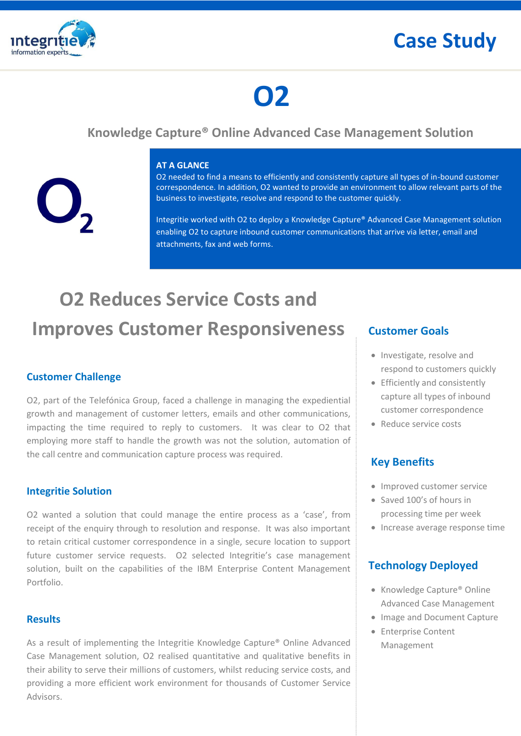



# **O2**

### **Knowledge Capture® Online Advanced Case Management Solution**



#### **AT A GLANCE**

O2 needed to find a means to efficiently and consistently capture all types of in-bound customer correspondence. In addition, O2 wanted to provide an environment to allow relevant parts of the business to investigate, resolve and respond to the customer quickly.

Integritie worked with O2 to deploy a Knowledge Capture® Advanced Case Management solution enabling O2 to capture inbound customer communications that arrive via letter, email and attachments, fax and web forms.

## **O2 Reduces Service Costs and Improves Customer Responsiveness**

#### **Customer Challenge**

O2, part of the Telefónica Group, faced a challenge in managing the expediential growth and management of customer letters, emails and other communications, impacting the time required to reply to customers. It was clear to O2 that employing more staff to handle the growth was not the solution, automation of the call centre and communication capture process was required.

#### **Integritie Solution**

O2 wanted a solution that could manage the entire process as a 'case', from receipt of the enquiry through to resolution and response. It was also important to retain critical customer correspondence in a single, secure location to support future customer service requests. O2 selected Integritie's case management solution, built on the capabilities of the IBM Enterprise Content Management Portfolio.

#### **Results**

As a result of implementing the Integritie Knowledge Capture® Online Advanced Case Management solution, O2 realised quantitative and qualitative benefits in their ability to serve their millions of customers, whilst reducing service costs, and providing a more efficient work environment for thousands of Customer Service Advisors.

#### **Customer Goals**

- Investigate, resolve and respond to customers quickly
- Efficiently and consistently capture all types of inbound customer correspondence
- Reduce service costs

#### **Key Benefits**

- Improved customer service
- Saved 100's of hours in processing time per week
- Increase average response time

#### **Technology Deployed**

- Knowledge Capture<sup>®</sup> Online Advanced Case Management
- Image and Document Capture
- **•** Enterprise Content Management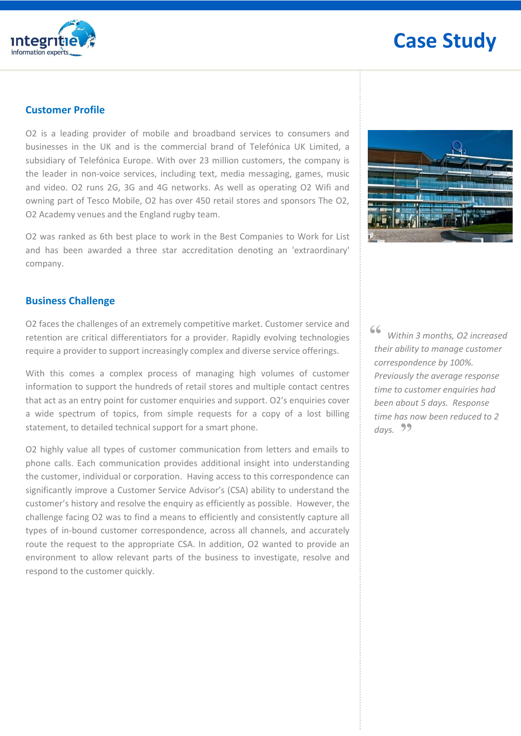

### **Case Study**

#### **Customer Profile**

O2 is a leading provider of mobile and broadband services to consumers and businesses in the UK and is the commercial brand of Telefónica UK Limited, a subsidiary of Telefónica Europe. With over 23 million customers, the company is the leader in non-voice services, including text, media messaging, games, music and video. O2 runs 2G, 3G and 4G networks. As well as operating O2 Wifi and owning part of Tesco Mobile, O2 has over 450 retail stores and sponsors The O2, O2 Academy venues and the England rugby team.

O2 was ranked as 6th best place to work in the Best Companies to Work for List and has been awarded a three star accreditation denoting an 'extraordinary' company.



#### **Business Challenge**

O2 faces the challenges of an extremely competitive market. Customer service and retention are critical differentiators for a provider. Rapidly evolving technologies require a provider to support increasingly complex and diverse service offerings.

With this comes a complex process of managing high volumes of customer information to support the hundreds of retail stores and multiple contact centres that act as an entry point for customer enquiries and support. O2's enquiries cover a wide spectrum of topics, from simple requests for a copy of a lost billing statement, to detailed technical support for a smart phone.

O2 highly value all types of customer communication from letters and emails to phone calls. Each communication provides additional insight into understanding the customer, individual or corporation. Having access to this correspondence can significantly improve a Customer Service Advisor's (CSA) ability to understand the customer's history and resolve the enquiry as efficiently as possible. However, the challenge facing O2 was to find a means to efficiently and consistently capture all types of in-bound customer correspondence, across all channels, and accurately route the request to the appropriate CSA. In addition, O2 wanted to provide an environment to allow relevant parts of the business to investigate, resolve and respond to the customer quickly.

 *Within 3 months, O2 increased their ability to manage customer correspondence by 100%. Previously the average response time to customer enquiries had been about 5 days. Response time has now been reduced to 2 days.*  **""**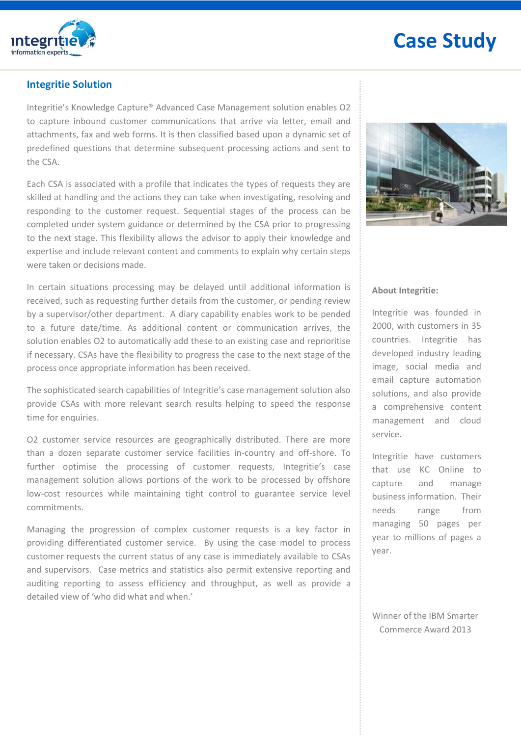

### **Case Study**

#### **Integritie Solution**

Integritie's Knowledge Capture® Advanced Case Management solution enables O2 to capture inbound customer communications that arrive via letter, email and attachments, fax and web forms. It is then classified based upon a dynamic set of predefined questions that determine subsequent processing actions and sent to the CSA.

Each CSA is associated with a profile that indicates the types of requests they are skilled at handling and the actions they can take when investigating, resolving and responding to the customer request. Sequential stages of the process can be completed under system guidance or determined by the CSA prior to progressing to the next stage. This flexibility allows the advisor to apply their knowledge and expertise and include relevant content and comments to explain why certain steps were taken or decisions made.

In certain situations processing may be delayed until additional information is received, such as requesting further details from the customer, or pending review by a supervisor/other department. A diary capability enables work to be pended to a future date/time. As additional content or communication arrives, the solution enables O2 to automatically add these to an existing case and reprioritise if necessary. CSAs have the flexibility to progress the case to the next stage of the process once appropriate information has been received.

The sophisticated search capabilities of Integritie's case management solution also provide CSAs with more relevant search results helping to speed the response time for enquiries.

O2 customer service resources are geographically distributed. There are more than a dozen separate customer service facilities in-country and off-shore. To further optimise the processing of customer requests, Integritie's case management solution allows portions of the work to be processed by offshore low-cost resources while maintaining tight control to guarantee service level commitments.

Managing the progression of complex customer requests is a key factor in providing differentiated customer service. By using the case model to process customer requests the current status of any case is immediately available to CSAs and supervisors. Case metrics and statistics also permit extensive reporting and auditing reporting to assess efficiency and throughput, as well as provide a detailed view of 'who did what and when.'



#### **About Integritie:**

Integritie was founded in 2000, with customers in 35 countries. Integritie has developed industry leading image, social media and email capture automation solutions, and also provide a comprehensive content management and cloud service.

Integritie have customers that use KC Online to capture and manage business information. Their needs range from managing 50 pages per year to millions of pages a year.

Winner of the IBM Smarter Commerce Award 2013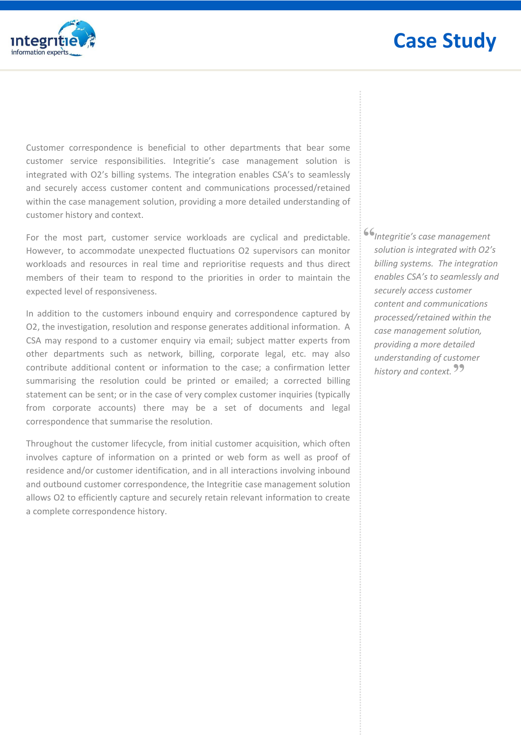

Customer correspondence is beneficial to other departments that bear some customer service responsibilities. Integritie's case management solution is integrated with O2's billing systems. The integration enables CSA's to seamlessly and securely access customer content and communications processed/retained within the case management solution, providing a more detailed understanding of customer history and context.

For the most part, customer service workloads are cyclical and predictable. However, to accommodate unexpected fluctuations O2 supervisors can monitor workloads and resources in real time and reprioritise requests and thus direct members of their team to respond to the priorities in order to maintain the expected level of responsiveness.

In addition to the customers inbound enquiry and correspondence captured by O2, the investigation, resolution and response generates additional information. A CSA may respond to a customer enquiry via email; subject matter experts from other departments such as network, billing, corporate legal, etc. may also contribute additional content or information to the case; a confirmation letter summarising the resolution could be printed or emailed; a corrected billing statement can be sent; or in the case of very complex customer inquiries (typically from corporate accounts) there may be a set of documents and legal correspondence that summarise the resolution.

Throughout the customer lifecycle, from initial customer acquisition, which often involves capture of information on a printed or web form as well as proof of residence and/or customer identification, and in all interactions involving inbound and outbound customer correspondence, the Integritie case management solution allows O2 to efficiently capture and securely retain relevant information to create a complete correspondence history.

**"** *Integritie's case management solution is integrated with O2's billing systems. The integration enables CSA's to seamlessly and securely access customer content and communications processed/retained within the case management solution, providing a more detailed understanding of customer*  history and context.<sup>99</sup>